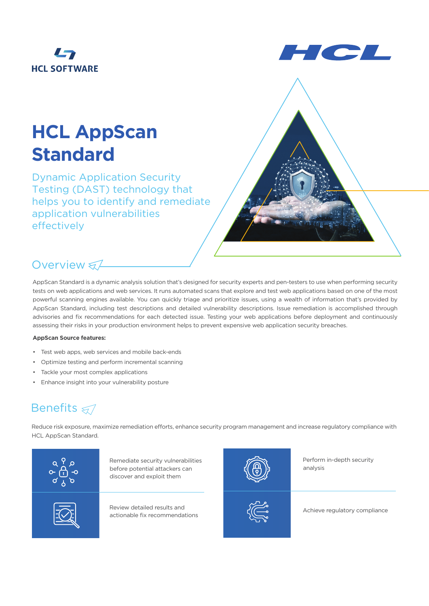



# **HCL AppScan Standard**

Dynamic Application Security Testing (DAST) technology that helps you to identify and remediate application vulnerabilities effectively

## Overview ₹

AppScan Standard is a dynamic analysis solution that's designed for security experts and pen-testers to use when performing security tests on web applications and web services. It runs automated scans that explore and test web applications based on one of the most powerful scanning engines available. You can quickly triage and prioritize issues, using a wealth of information that's provided by AppScan Standard, including test descriptions and detailed vulnerability descriptions. Issue remediation is accomplished through advisories and fix recommendations for each detected issue. Testing your web applications before deployment and continuously assessing their risks in your production environment helps to prevent expensive web application security breaches.

### **AppScan Source features:**

- Test web apps, web services and mobile back-ends
- Optimize testing and perform incremental scanning
- Tackle your most complex applications
- Enhance insight into your vulnerability posture

# Benefits  $\leqslant$

Reduce risk exposure, maximize remediation efforts, enhance security program management and increase regulatory compliance with HCL AppScan Standard.



Remediate security vulnerabilities before potential attackers can discover and exploit them

Review detailed results and actionable fix recommendations



Perform in-depth security analysis



Achieve regulatory compliance